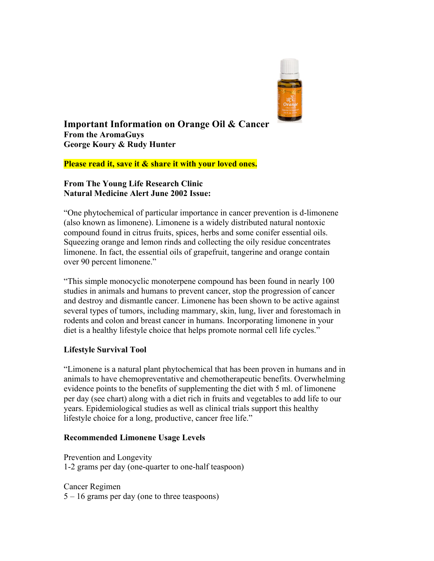

## **Important Information on Orange Oil & Cancer From the AromaGuys George Koury & Rudy Hunter**

**Please read it, save it & share it with your loved ones.**

## **From The Young Life Research Clinic Natural Medicine Alert June 2002 Issue:**

"One phytochemical of particular importance in cancer prevention is d-limonene (also known as limonene). Limonene is a widely distributed natural nontoxic compound found in citrus fruits, spices, herbs and some conifer essential oils. Squeezing orange and lemon rinds and collecting the oily residue concentrates limonene. In fact, the essential oils of grapefruit, tangerine and orange contain over 90 percent limonene."

"This simple monocyclic monoterpene compound has been found in nearly 100 studies in animals and humans to prevent cancer, stop the progression of cancer and destroy and dismantle cancer. Limonene has been shown to be active against several types of tumors, including mammary, skin, lung, liver and forestomach in rodents and colon and breast cancer in humans. Incorporating limonene in your diet is a healthy lifestyle choice that helps promote normal cell life cycles."

# **Lifestyle Survival Tool**

"Limonene is a natural plant phytochemical that has been proven in humans and in animals to have chemopreventative and chemotherapeutic benefits. Overwhelming evidence points to the benefits of supplementing the diet with 5 ml. of limonene per day (see chart) along with a diet rich in fruits and vegetables to add life to our years. Epidemiological studies as well as clinical trials support this healthy lifestyle choice for a long, productive, cancer free life."

#### **Recommended Limonene Usage Levels**

Prevention and Longevity 1-2 grams per day (one-quarter to one-half teaspoon)

Cancer Regimen 5 – 16 grams per day (one to three teaspoons)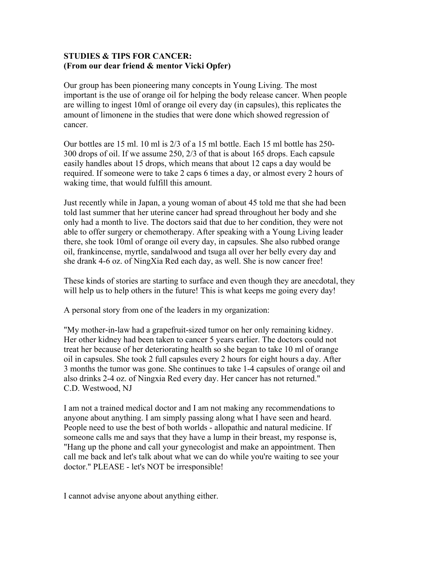### **STUDIES & TIPS FOR CANCER: (From our dear friend & mentor Vicki Opfer)**

Our group has been pioneering many concepts in Young Living. The most important is the use of orange oil for helping the body release cancer. When people are willing to ingest 10ml of orange oil every day (in capsules), this replicates the amount of limonene in the studies that were done which showed regression of cancer.

Our bottles are 15 ml. 10 ml is 2/3 of a 15 ml bottle. Each 15 ml bottle has 250- 300 drops of oil. If we assume 250, 2/3 of that is about 165 drops. Each capsule easily handles about 15 drops, which means that about 12 caps a day would be required. If someone were to take 2 caps 6 times a day, or almost every 2 hours of waking time, that would fulfill this amount.

Just recently while in Japan, a young woman of about 45 told me that she had been told last summer that her uterine cancer had spread throughout her body and she only had a month to live. The doctors said that due to her condition, they were not able to offer surgery or chemotherapy. After speaking with a Young Living leader there, she took 10ml of orange oil every day, in capsules. She also rubbed orange oil, frankincense, myrtle, sandalwood and tsuga all over her belly every day and she drank 4-6 oz. of NingXia Red each day, as well. She is now cancer free!

These kinds of stories are starting to surface and even though they are anecdotal, they will help us to help others in the future! This is what keeps me going every day!

A personal story from one of the leaders in my organization:

"My mother-in-law had a grapefruit-sized tumor on her only remaining kidney. Her other kidney had been taken to cancer 5 years earlier. The doctors could not treat her because of her deteriorating health so she began to take 10 ml of orange oil in capsules. She took 2 full capsules every 2 hours for eight hours a day. After 3 months the tumor was gone. She continues to take 1-4 capsules of orange oil and also drinks 2-4 oz. of Ningxia Red every day. Her cancer has not returned." C.D. Westwood, NJ

I am not a trained medical doctor and I am not making any recommendations to anyone about anything. I am simply passing along what I have seen and heard. People need to use the best of both worlds - allopathic and natural medicine. If someone calls me and says that they have a lump in their breast, my response is, "Hang up the phone and call your gynecologist and make an appointment. Then call me back and let's talk about what we can do while you're waiting to see your doctor." PLEASE - let's NOT be irresponsible!

I cannot advise anyone about anything either.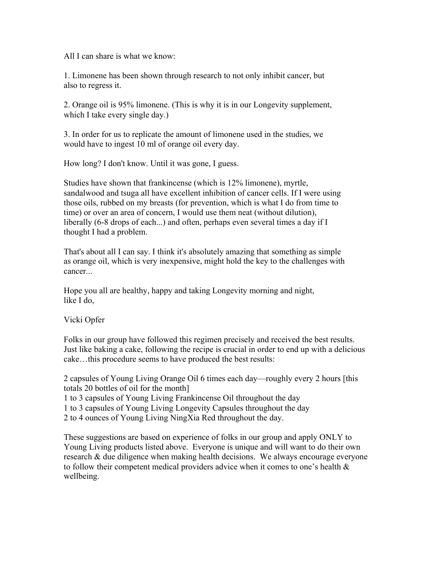All I can share is what we know:

1. Limonene has been shown through research to not only inhibit cancer, but also to regress it.

2. Orange oil is 95% limonene. (This is why it is in our Longevity supplement, which I take every single day.)

3. In order for us to replicate the amount of limonene used in the studies, we would have to ingest 10 ml of orange oil every day.

How long? I don't know. Until it was gone, I guess.

Studies have shown that frankincense (which is 12% limonene), myrtle, sandalwood and tsuga all have excellent inhibition of cancer cells. If I were using those oils, rubbed on my breasts (for prevention, which is what I do from time to time) or over an area of concern, I would use them neat (without dilution), liberally (6-8 drops of each...) and often, perhaps even several times a day if I thought I had a problem.

That's about all I can say. I think it's absolutely amazing that something as simple as orange oil, which is very inexpensive, might hold the key to the challenges with cancer...

Hope you all are healthy, happy and taking Longevity morning and night, like I do,

Vicki Opfer

Folks in our group have followed this regimen precisely and received the best results. Just like baking a cake, following the recipe is crucial in order to end up with a delicious cake…this procedure seems to have produced the best results:

2 capsules of Young Living Orange Oil 6 times each day—roughly every 2 hours [this totals 20 bottles of oil for the month]

1 to 3 capsules of Young Living Frankincense Oil throughout the day

1 to 3 capsules of Young Living Longevity Capsules throughout the day

2 to 4 ounces of Young Living NingXia Red throughout the day.

These suggestions are based on experience of folks in our group and apply ONLY to Young Living products listed above. Everyone is unique and will want to do their own research & due diligence when making health decisions. We always encourage everyone to follow their competent medical providers advice when it comes to one's health  $\&$ wellbeing.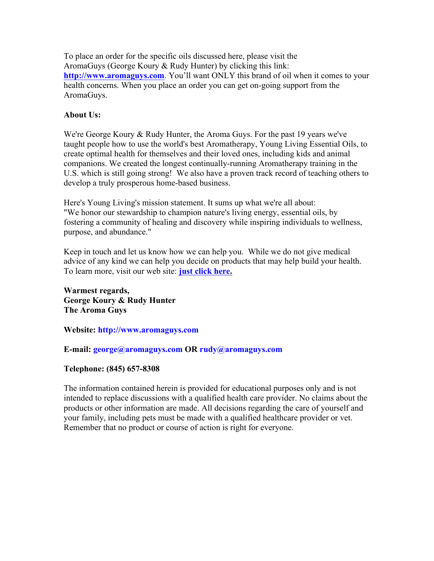To place an order for the specific oils discussed here, please visit the AromaGuys (George Koury & Rudy Hunter) by clicking this link: **http://www.aromaguys.com**. You'll want ONLY this brand of oil when it comes to your health concerns. When you place an order you can get on-going support from the AromaGuys.

# **About Us:**

We're George Koury & Rudy Hunter, the Aroma Guys. For the past 19 years we've taught people how to use the world's best Aromatherapy, Young Living Essential Oils, to create optimal health for themselves and their loved ones, including kids and animal companions. We created the longest continually-running Aromatherapy training in the U.S. which is still going strong! We also have a proven track record of teaching others to develop a truly prosperous home-based business.

Here's Young Living's mission statement. It sums up what we're all about: "We honor our stewardship to champion nature's living energy, essential oils, by fostering a community of healing and discovery while inspiring individuals to wellness, purpose, and abundance."

Keep in touch and let us know how we can help you. While we do not give medical advice of any kind we can help you decide on products that may help build your health. To learn more, visit our web site: **just click here.**

**Warmest regards, George Koury & Rudy Hunter The Aroma Guys**

**Website: http://www.aromaguys.com**

**E-mail: george@aromaguys.com OR rudy@aromaguys.com**

# **Telephone: (845) 657-8308**

The information contained herein is provided for educational purposes only and is not intended to replace discussions with a qualified health care provider. No claims about the products or other information are made. All decisions regarding the care of yourself and your family, including pets must be made with a qualified healthcare provider or vet. Remember that no product or course of action is right for everyone.